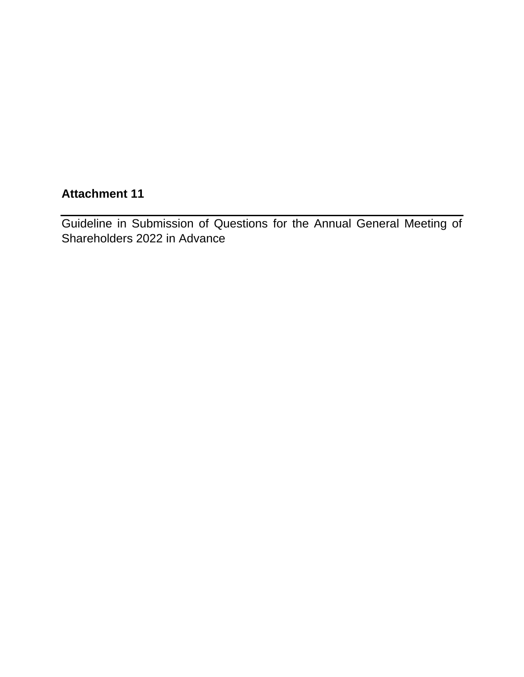# **Attachment 11**

Guideline in Submission of Questions for the Annual General Meeting of Shareholders 2022 in Advance